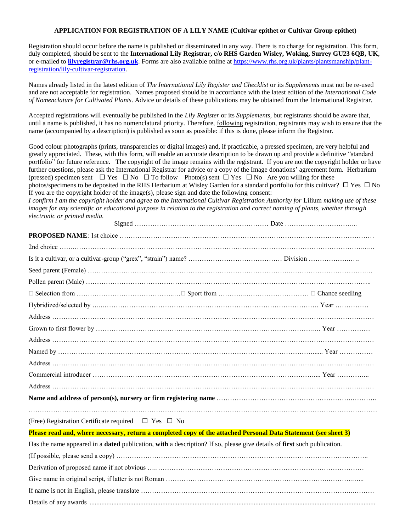## **APPLICATION FOR REGISTRATION OF A LILY NAME (Cultivar epithet or Cultivar Group epithet)**

Registration should occur before the name is published or disseminated in any way. There is no charge for registration. This form, duly completed, should be sent to the **International Lily Registrar, c/o RHS Garden Wisley, Woking, Surrey GU23 6QB, UK**, or e-mailed to **[lilyregistrar@rhs.org.uk](mailto:lilyregistrar@rhs.org.uk)**. Forms are also available online at [https://www.rhs.org.uk/plants/plantsmanship/plant](https://www.rhs.org.uk/plants/plantsmanship/plant-registration/lily-cultivar-registration)[registration/lily-cultivar-registration.](https://www.rhs.org.uk/plants/plantsmanship/plant-registration/lily-cultivar-registration)

Names already listed in the latest edition of *The International Lily Register and Checklist* or its *Supplements* must not be re-used and are not acceptable for registration. Names proposed should be in accordance with the latest edition of the *International Code of Nomenclature for Cultivated Plants*. Advice or details of these publications may be obtained from the International Registrar.

Accepted registrations will eventually be published in the *Lily Register* or its *Supplements*, but registrants should be aware that, until a name is published, it has no nomenclatural priority. Therefore, following registration, registrants may wish to ensure that the name (accompanied by a description) is published as soon as possible: if this is done, please inform the Registrar.

Good colour photographs (prints, transparencies or digital images) and, if practicable, a pressed specimen, are very helpful and greatly appreciated. These, with this form, will enable an accurate description to be drawn up and provide a definitive "standard portfolio" for future reference. The copyright of the image remains with the registrant. If you are not the copyright holder or have further questions, please ask the International Registrar for advice or a copy of the Image donations' agreement form. Herbarium (pressed) specimen sent  $\Box$  Yes  $\Box$  No  $\Box$  To follow Photo(s) sent  $\Box$  Yes  $\Box$  No Are you willing for these photos/specimens to be deposited in the RHS Herbarium at Wisley Garden for a standard portfolio for this cultivar?  $\Box$  Yes  $\Box$  No If you are the copyright holder of the image(s), please sign and date the following consent: *I confirm I am the copyright holder and agree to the International Cultivar Registration Authority for* Lilium *making use of these images for any scientific or educational purpose in relation to the registration and correct naming of plants, whether through electronic or printed media.*

| (Free) Registration Certificate required $\Box$ Yes $\Box$ No                                                                  |  |
|--------------------------------------------------------------------------------------------------------------------------------|--|
| Please read and, where necessary, return a completed copy of the attached Personal Data Statement (see sheet 3)                |  |
| Has the name appeared in a <b>dated</b> publication, with a description? If so, please give details of first such publication. |  |
|                                                                                                                                |  |
|                                                                                                                                |  |

Give name in original script, if latter is not Roman ………………………………………………………………………… If name is not in English, please translate …………………………………………………………………………………..………. Details of any awards .........................................................................................................................................................................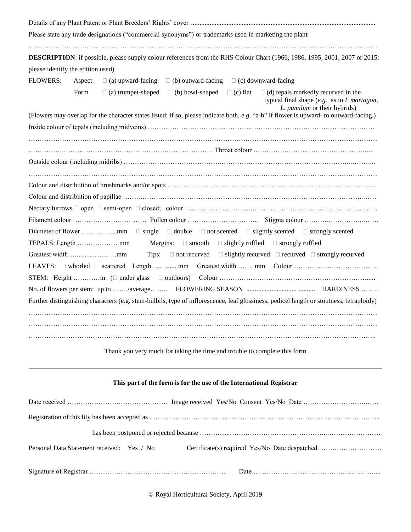| Please state any trade designations ("commercial synonyms") or trademarks used in marketing the plant<br>DESCRIPTION: if possible, please supply colour references from the RHS Colour Chart (1966, 1986, 1995, 2001, 2007 or 2015: |        |                                                                                                                                                                                                |  |  |
|-------------------------------------------------------------------------------------------------------------------------------------------------------------------------------------------------------------------------------------|--------|------------------------------------------------------------------------------------------------------------------------------------------------------------------------------------------------|--|--|
|                                                                                                                                                                                                                                     |        |                                                                                                                                                                                                |  |  |
| <b>FLOWERS:</b>                                                                                                                                                                                                                     | Aspect | $\Box$ (a) upward-facing<br>$\Box$ (b) outward-facing $\Box$ (c) downward-facing                                                                                                               |  |  |
|                                                                                                                                                                                                                                     | Form   | $\Box$ (a) trumpet-shaped $\Box$ (b) bowl-shaped $\Box$ (c) flat $\Box$ (d) tepals markedly recurved in the<br>typical final shape $(e.g.$ as in $L$ martagon,<br>L. pumilum or their hybrids) |  |  |
|                                                                                                                                                                                                                                     |        | (Flowers may overlap for the character states listed: if so, please indicate both, e.g. "a-b" if flower is upward- to outward-facing.)                                                         |  |  |
|                                                                                                                                                                                                                                     |        |                                                                                                                                                                                                |  |  |
|                                                                                                                                                                                                                                     |        |                                                                                                                                                                                                |  |  |
|                                                                                                                                                                                                                                     |        |                                                                                                                                                                                                |  |  |
|                                                                                                                                                                                                                                     |        |                                                                                                                                                                                                |  |  |
|                                                                                                                                                                                                                                     |        |                                                                                                                                                                                                |  |  |
|                                                                                                                                                                                                                                     |        |                                                                                                                                                                                                |  |  |
|                                                                                                                                                                                                                                     |        |                                                                                                                                                                                                |  |  |
|                                                                                                                                                                                                                                     |        |                                                                                                                                                                                                |  |  |
|                                                                                                                                                                                                                                     |        | Tips: $\Box$ not recurved $\Box$ slightly recurved $\Box$ recurved $\Box$ strongly recurved                                                                                                    |  |  |
|                                                                                                                                                                                                                                     |        |                                                                                                                                                                                                |  |  |
|                                                                                                                                                                                                                                     |        |                                                                                                                                                                                                |  |  |
|                                                                                                                                                                                                                                     |        |                                                                                                                                                                                                |  |  |
|                                                                                                                                                                                                                                     |        | Further distinguishing characters (e.g. stem-bulbils, type of inflorescence, leaf glossiness, pedicel length or stoutness, tetraploidy)                                                        |  |  |
|                                                                                                                                                                                                                                     |        |                                                                                                                                                                                                |  |  |
|                                                                                                                                                                                                                                     |        | Thank you very much for taking the time and trouble to complete this form                                                                                                                      |  |  |
|                                                                                                                                                                                                                                     |        | This part of the form is for the use of the International Registrar                                                                                                                            |  |  |

| Personal Data Statement received: Yes / No | Certificate(s) required Yes/No Date despatched |
|--------------------------------------------|------------------------------------------------|
|                                            |                                                |

© Royal Horticultural Society, April 2019